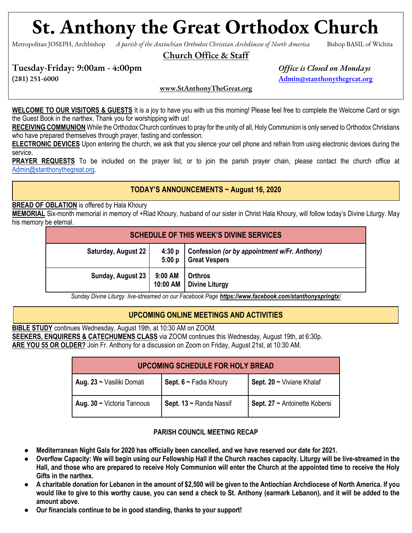# **St. Anthony the Great Orthodox Church**

Metropolitan JOSEPH, Archbishop *A parish of the Antiochian Orthodox Christian Archdiocese of North America* Bishop BASIL of Wichita

#### Church Office & Staff

Tuesday-Friday: 9:00am - 4:00pm *Office is Closed on Mondays*

(281) 251-6000 [Admin@stanthonythegreat.org](mailto:Admin@stanthonythegreat.org)

[www.StAnthonyTheGreat.org](http://www.stanthonythegreat.org/)

**WELCOME TO OUR VISITORS & GUESTS** It is a joy to have you with us this morning! Please feel free to complete the Welcome Card or sign the Guest Book in the narthex. Thank you for worshipping with us!

**RECEIVING COMMUNION** While the Orthodox Church continues to pray for the unity of all, Holy Communion is only served to Orthodox Christians who have prepared themselves through prayer, fasting and confession.

**ELECTRONIC DEVICES** Upon entering the church, we ask that you silence your cell phone and refrain from using electronic devices during the service.

**PRAYER REQUESTS** To be included on the prayer list, or to join the parish prayer chain, please contact the church office at [Admin@stanthonythegreat.org.](mailto:Admin@stanthonythegreat.org)

#### **TODAY'S ANNOUNCEMENTS ~ August 16, 2020**

#### **BREAD OF OBLATION** is offered by Hala Khoury

**MEMORIAL** Six-month memorial in memory of +Riad Khoury, husband of our sister in Christ Hala Khoury, will follow today's Divine Liturgy. May his memory be eternal.

| <b>SCHEDULE OF THIS WEEK'S DIVINE SERVICES</b> |                     |                                                                      |  |
|------------------------------------------------|---------------------|----------------------------------------------------------------------|--|
| Saturday, August 22                            | 4:30 p<br>5:00 p    | Confession (or by appointment w/Fr. Anthony)<br><b>Great Vespers</b> |  |
| Sunday, August 23                              | 9:00 AM<br>10:00 AM | <b>Orthros</b><br><b>Divine Liturgy</b>                              |  |

*Sunday Divine Liturgy live-streamed on our Facebook Page <https://www.facebook.com/stanthonyspringtx/>*

# **UPCOMING ONLINE MEETINGS AND ACTIVITIES**

**BIBLE STUDY** continues Wednesday, August 19th, at 10:30 AM on ZOOM. **SEEKERS, ENQUIRERS & CATECHUMENS CLASS** via ZOOM continues this Wednesday, August 19th, at 6:30p. **ARE YOU 55 OR OLDER?** Join Fr. Anthony for a discussion on Zoom on Friday, August 21st, at 10:30 AM.

| <b>UPCOMING SCHEDULE FOR HOLY BREAD</b> |                             |                               |  |
|-----------------------------------------|-----------------------------|-------------------------------|--|
| Aug. 23 ~ Vasiliki Domati               | Sept. $6 \sim$ Fadia Khoury | Sept. 20 ~ Viviane Khalaf     |  |
| Aug. $30 \sim$ Victoria Tannous         | Sept. 13 ~ Randa Nassif     | Sept. 27 ~ Antoinette Kobersi |  |

#### **PARISH COUNCIL MEETING RECAP**

- **Mediterranean Night Gala for 2020 has officially been cancelled, and we have reserved our date for 2021.**
- Overflow Capacity: We will begin using our Fellowship Hall if the Church reaches capacity. Liturgy will be live-streamed in the **Hall, and those who are prepared to receive Holy Communion will enter the Church at the appointed time to receive the Holy Gifts in the narthex.**
- **A charitable donation for Lebanon in the amount of \$2,500 will be given to the Antiochian Archdiocese of North America. If you would like to give to this worthy cause, you can send a check to St. Anthony (earmark Lebanon), and it will be added to the amount above.**
- Our financials continue to be in good standing, thanks to your support!